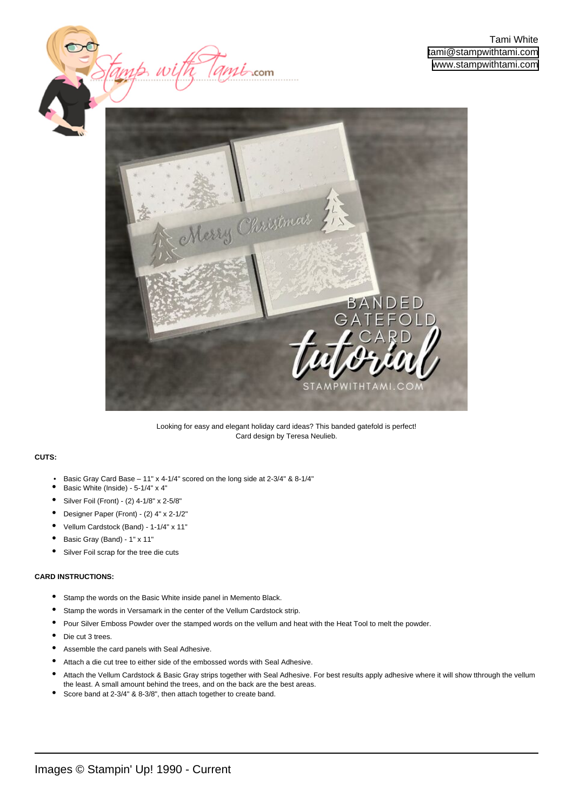



Looking for easy and elegant holiday card ideas? This banded gatefold is perfect! Card design by Teresa Neulieb.

## **CUTS:**

- Basic Gray Card Base 11" x 4-1/4" scored on the long side at 2-3/4" & 8-1/4"
- Basic White (Inside) 5-1/4" x 4"
- Silver Foil (Front) (2) 4-1/8" x 2-5/8"
- Designer Paper (Front) (2) 4" x 2-1/2"
- Vellum Cardstock (Band) 1-1/4" x 11"
- Basic Gray (Band) 1" x 11"
- Silver Foil scrap for the tree die cuts

## **CARD INSTRUCTIONS:**

- Stamp the words on the Basic White inside panel in Memento Black.
- Stamp the words in Versamark in the center of the Vellum Cardstock strip.
- Pour Silver Emboss Powder over the stamped words on the vellum and heat with the Heat Tool to melt the powder.
- Die cut 3 trees.
- Assemble the card panels with Seal Adhesive.
- Attach a die cut tree to either side of the embossed words with Seal Adhesive.
- Attach the Vellum Cardstock & Basic Gray strips together with Seal Adhesive. For best results apply adhesive where it will show tthrough the vellum the least. A small amount behind the trees, and on the back are the best areas. •
- Score band at 2-3/4" & 8-3/8", then attach together to create band.